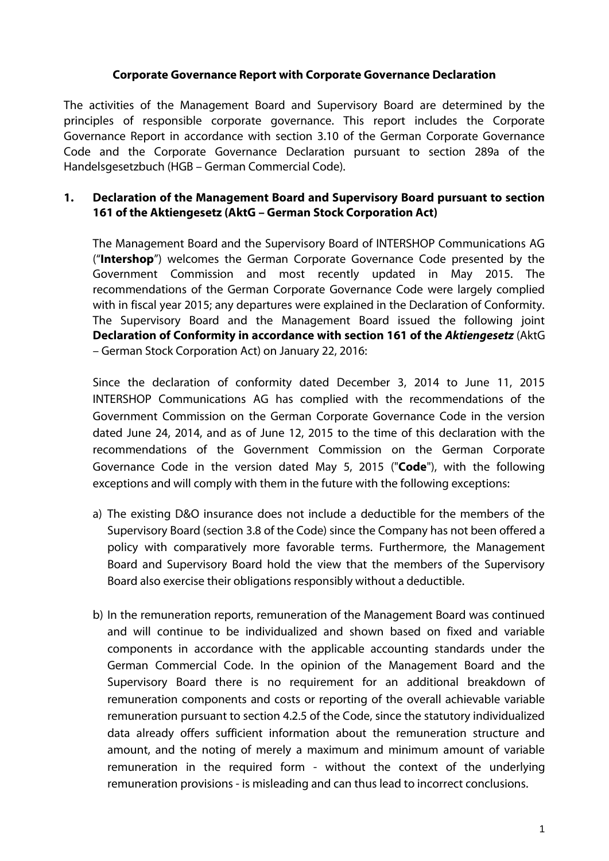#### **Corporate Governance Report with Corporate Governance Declaration**

The activities of the Management Board and Supervisory Board are determined by the principles of responsible corporate governance. This report includes the Corporate Governance Report in accordance with section 3.10 of the German Corporate Governance Code and the Corporate Governance Declaration pursuant to section 289a of the Handelsgesetzbuch (HGB – German Commercial Code).

# **1. Declaration of the Management Board and Supervisory Board pursuant to section 161 of the Aktiengesetz (AktG – German Stock Corporation Act)**

The Management Board and the Supervisory Board of INTERSHOP Communications AG ("**Intershop**") welcomes the German Corporate Governance Code presented by the Government Commission and most recently updated in May 2015. The recommendations of the German Corporate Governance Code were largely complied with in fiscal year 2015; any departures were explained in the Declaration of Conformity. The Supervisory Board and the Management Board issued the following joint **Declaration of Conformity in accordance with section 161 of the** *Aktiengesetz* (AktG – German Stock Corporation Act) on January 22, 2016:

Since the declaration of conformity dated December 3, 2014 to June 11, 2015 INTERSHOP Communications AG has complied with the recommendations of the Government Commission on the German Corporate Governance Code in the version dated June 24, 2014, and as of June 12, 2015 to the time of this declaration with the recommendations of the Government Commission on the German Corporate Governance Code in the version dated May 5, 2015 ("**Code**"), with the following exceptions and will comply with them in the future with the following exceptions:

- a) The existing D&O insurance does not include a deductible for the members of the Supervisory Board (section 3.8 of the Code) since the Company has not been offered a policy with comparatively more favorable terms. Furthermore, the Management Board and Supervisory Board hold the view that the members of the Supervisory Board also exercise their obligations responsibly without a deductible.
- b) In the remuneration reports, remuneration of the Management Board was continued and will continue to be individualized and shown based on fixed and variable components in accordance with the applicable accounting standards under the German Commercial Code. In the opinion of the Management Board and the Supervisory Board there is no requirement for an additional breakdown of remuneration components and costs or reporting of the overall achievable variable remuneration pursuant to section 4.2.5 of the Code, since the statutory individualized data already offers sufficient information about the remuneration structure and amount, and the noting of merely a maximum and minimum amount of variable remuneration in the required form - without the context of the underlying remuneration provisions - is misleading and can thus lead to incorrect conclusions.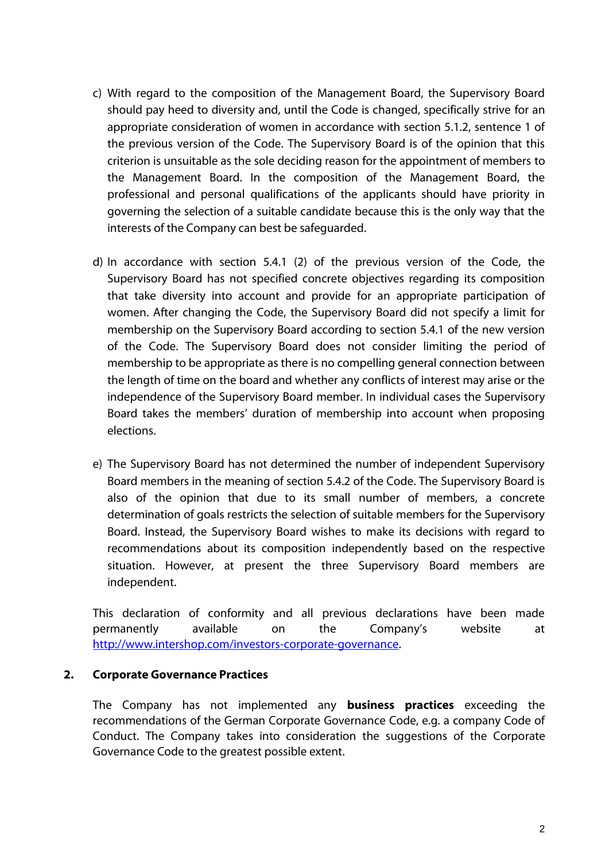- c) With regard to the composition of the Management Board, the Supervisory Board should pay heed to diversity and, until the Code is changed, specifically strive for an appropriate consideration of women in accordance with section 5.1.2, sentence 1 of the previous version of the Code. The Supervisory Board is of the opinion that this criterion is unsuitable as the sole deciding reason for the appointment of members to the Management Board. In the composition of the Management Board, the professional and personal qualifications of the applicants should have priority in governing the selection of a suitable candidate because this is the only way that the interests of the Company can best be safeguarded.
- d) In accordance with section 5.4.1 (2) of the previous version of the Code, the Supervisory Board has not specified concrete objectives regarding its composition that take diversity into account and provide for an appropriate participation of women. After changing the Code, the Supervisory Board did not specify a limit for membership on the Supervisory Board according to section 5.4.1 of the new version of the Code. The Supervisory Board does not consider limiting the period of membership to be appropriate as there is no compelling general connection between the length of time on the board and whether any conflicts of interest may arise or the independence of the Supervisory Board member. In individual cases the Supervisory Board takes the members' duration of membership into account when proposing elections.
- e) The Supervisory Board has not determined the number of independent Supervisory Board members in the meaning of section 5.4.2 of the Code. The Supervisory Board is also of the opinion that due to its small number of members, a concrete determination of goals restricts the selection of suitable members for the Supervisory Board. Instead, the Supervisory Board wishes to make its decisions with regard to recommendations about its composition independently based on the respective situation. However, at present the three Supervisory Board members are independent.

This declaration of conformity and all previous declarations have been made permanently available on the Company's website at [http://www.intershop.com/investors-corporate-governance.](http://www.intershop.com/investors-corporate-governance)

#### **2. Corporate Governance Practices**

The Company has not implemented any **business practices** exceeding the recommendations of the German Corporate Governance Code, e.g. a company Code of Conduct. The Company takes into consideration the suggestions of the Corporate Governance Code to the greatest possible extent.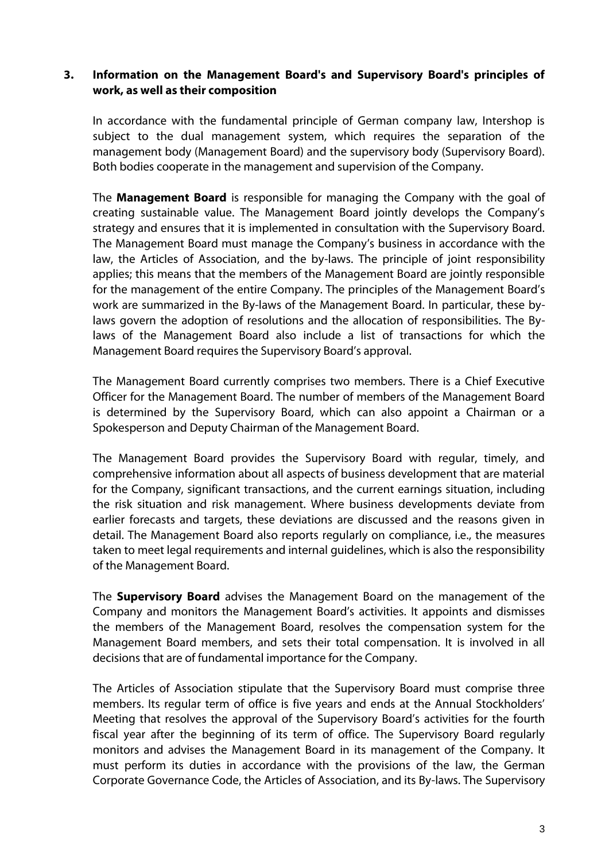# **3. Information on the Management Board's and Supervisory Board's principles of work, as well as their composition**

In accordance with the fundamental principle of German company law, Intershop is subject to the dual management system, which requires the separation of the management body (Management Board) and the supervisory body (Supervisory Board). Both bodies cooperate in the management and supervision of the Company.

The **Management Board** is responsible for managing the Company with the goal of creating sustainable value. The Management Board jointly develops the Company's strategy and ensures that it is implemented in consultation with the Supervisory Board. The Management Board must manage the Company's business in accordance with the law, the Articles of Association, and the by-laws. The principle of joint responsibility applies; this means that the members of the Management Board are jointly responsible for the management of the entire Company. The principles of the Management Board's work are summarized in the By-laws of the Management Board. In particular, these bylaws govern the adoption of resolutions and the allocation of responsibilities. The Bylaws of the Management Board also include a list of transactions for which the Management Board requires the Supervisory Board's approval.

The Management Board currently comprises two members. There is a Chief Executive Officer for the Management Board. The number of members of the Management Board is determined by the Supervisory Board, which can also appoint a Chairman or a Spokesperson and Deputy Chairman of the Management Board.

The Management Board provides the Supervisory Board with regular, timely, and comprehensive information about all aspects of business development that are material for the Company, significant transactions, and the current earnings situation, including the risk situation and risk management. Where business developments deviate from earlier forecasts and targets, these deviations are discussed and the reasons given in detail. The Management Board also reports regularly on compliance, i.e., the measures taken to meet legal requirements and internal guidelines, which is also the responsibility of the Management Board.

The **Supervisory Board** advises the Management Board on the management of the Company and monitors the Management Board's activities. It appoints and dismisses the members of the Management Board, resolves the compensation system for the Management Board members, and sets their total compensation. It is involved in all decisions that are of fundamental importance for the Company.

The Articles of Association stipulate that the Supervisory Board must comprise three members. Its regular term of office is five years and ends at the Annual Stockholders' Meeting that resolves the approval of the Supervisory Board's activities for the fourth fiscal year after the beginning of its term of office. The Supervisory Board regularly monitors and advises the Management Board in its management of the Company. It must perform its duties in accordance with the provisions of the law, the German Corporate Governance Code, the Articles of Association, and its By-laws. The Supervisory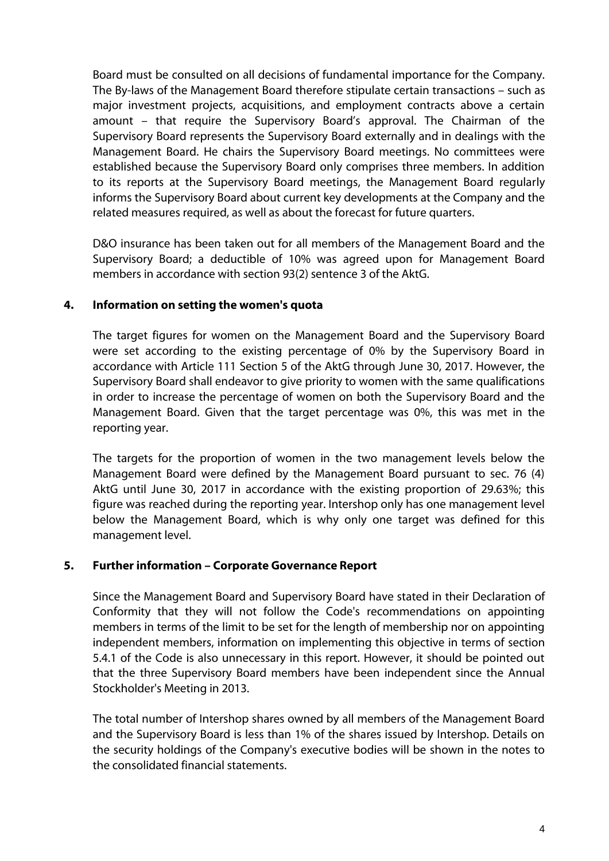Board must be consulted on all decisions of fundamental importance for the Company. The By-laws of the Management Board therefore stipulate certain transactions – such as major investment projects, acquisitions, and employment contracts above a certain amount – that require the Supervisory Board's approval. The Chairman of the Supervisory Board represents the Supervisory Board externally and in dealings with the Management Board. He chairs the Supervisory Board meetings. No committees were established because the Supervisory Board only comprises three members. In addition to its reports at the Supervisory Board meetings, the Management Board regularly informs the Supervisory Board about current key developments at the Company and the related measures required, as well as about the forecast for future quarters.

D&O insurance has been taken out for all members of the Management Board and the Supervisory Board; a deductible of 10% was agreed upon for Management Board members in accordance with section 93(2) sentence 3 of the AktG.

## **4. Information on setting the women's quota**

The target figures for women on the Management Board and the Supervisory Board were set according to the existing percentage of 0% by the Supervisory Board in accordance with Article 111 Section 5 of the AktG through June 30, 2017. However, the Supervisory Board shall endeavor to give priority to women with the same qualifications in order to increase the percentage of women on both the Supervisory Board and the Management Board. Given that the target percentage was 0%, this was met in the reporting year.

The targets for the proportion of women in the two management levels below the Management Board were defined by the Management Board pursuant to sec. 76 (4) AktG until June 30, 2017 in accordance with the existing proportion of 29.63%; this figure was reached during the reporting year. Intershop only has one management level below the Management Board, which is why only one target was defined for this management level.

## **5. Further information – Corporate Governance Report**

Since the Management Board and Supervisory Board have stated in their Declaration of Conformity that they will not follow the Code's recommendations on appointing members in terms of the limit to be set for the length of membership nor on appointing independent members, information on implementing this objective in terms of section 5.4.1 of the Code is also unnecessary in this report. However, it should be pointed out that the three Supervisory Board members have been independent since the Annual Stockholder's Meeting in 2013.

The total number of Intershop shares owned by all members of the Management Board and the Supervisory Board is less than 1% of the shares issued by Intershop. Details on the security holdings of the Company's executive bodies will be shown in the notes to the consolidated financial statements.